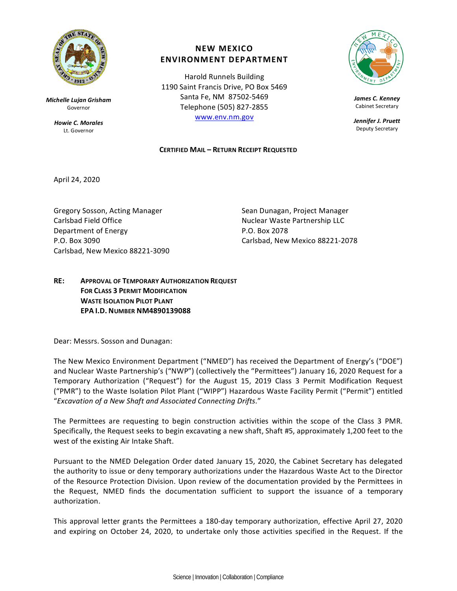

*Michelle Lujan Grisham* Governor

> *Howie C. Morales* Lt. Governor

## **NEW MEXICO ENVIRONMENT DEPARTMENT**

Harold Runnels Building 1190 Saint Francis Drive, PO Box 5469 Santa Fe, NM 87502-5469 Telephone (505) 827-2855 [www.env.nm.gov](http://www.env.nm.gov/)

## **CERTIFIED MAIL – RETURN RECEIPT REQUESTED**



*James C. Kenney* Cabinet Secretary

*Jennifer J. Pruett* Deputy Secretary

April 24, 2020

Gregory Sosson, Acting Manager Sean Dunagan, Project Manager Carlsbad Field Office The Nuclear Waste Partnership LLC Department of Energy P.O. Box 2078 P.O. Box 3090 Carlsbad, New Mexico 88221-2078 Carlsbad, New Mexico 88221-3090

## **RE: APPROVAL OF TEMPORARY AUTHORIZATION REQUEST FOR CLASS 3 PERMIT MODIFICATION WASTE ISOLATION PILOT PLANT EPA I.D. NUMBER NM4890139088**

Dear: Messrs. Sosson and Dunagan:

The New Mexico Environment Department ("NMED") has received the Department of Energy's ("DOE") and Nuclear Waste Partnership's ("NWP") (collectively the "Permittees") January 16, 2020 Request for a Temporary Authorization ("Request") for the August 15, 2019 Class 3 Permit Modification Request ("PMR") to the Waste Isolation Pilot Plant ("WIPP") Hazardous Waste Facility Permit ("Permit") entitled "*Excavation of a New Shaft and Associated Connecting Drifts.*"

The Permittees are requesting to begin construction activities within the scope of the Class 3 PMR. Specifically, the Request seeks to begin excavating a new shaft, Shaft #5, approximately 1,200 feet to the west of the existing Air Intake Shaft.

Pursuant to the NMED Delegation Order dated January 15, 2020, the Cabinet Secretary has delegated the authority to issue or deny temporary authorizations under the Hazardous Waste Act to the Director of the Resource Protection Division. Upon review of the documentation provided by the Permittees in the Request, NMED finds the documentation sufficient to support the issuance of a temporary authorization.

This approval letter grants the Permittees a 180-day temporary authorization, effective April 27, 2020 and expiring on October 24, 2020, to undertake only those activities specified in the Request. If the